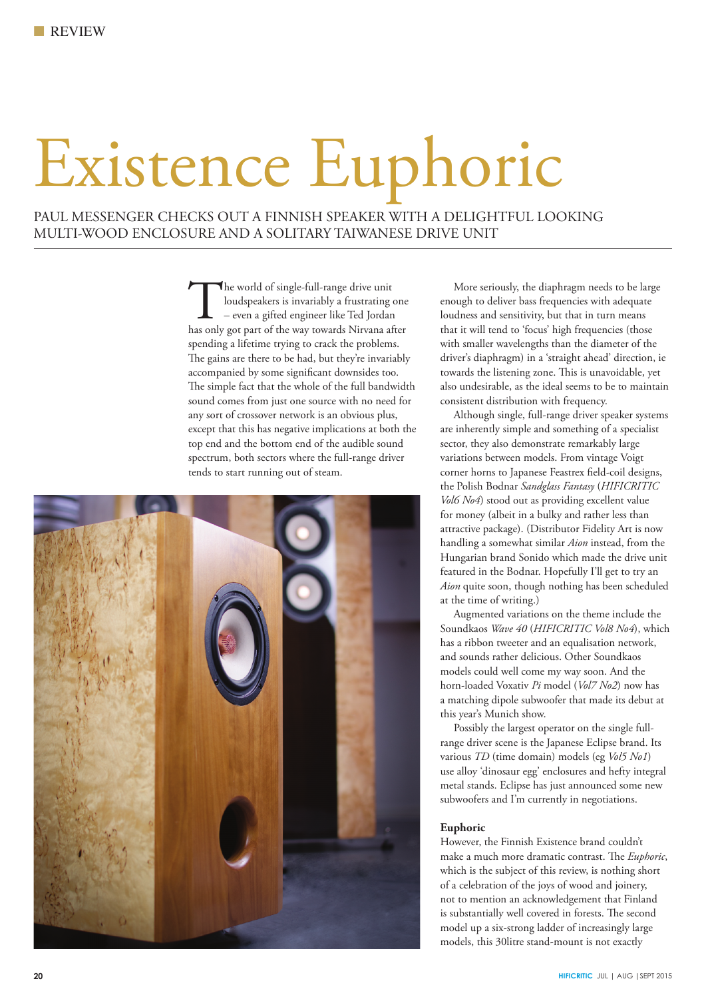# Existence Euphoric

PAUL MESSENGER CHECKS OUT A FINNISH SPEAKER WITH A DELIGHTFUL LOOKING MULTI-WOOD ENCLOSURE AND A SOLITARY TAIWANESE DRIVE UNIT

> The world of single-full-range drive unit<br>
> loudspeakers is invariably a frustrating one<br>
> – even a gifted engineer like Ted Jordan<br>
> has only got part of the way towards Nirvana after loudspeakers is invariably a frustrating one – even a gifted engineer like Ted Jordan spending a lifetime trying to crack the problems. The gains are there to be had, but they're invariably accompanied by some significant downsides too. The simple fact that the whole of the full bandwidth sound comes from just one source with no need for any sort of crossover network is an obvious plus, except that this has negative implications at both the top end and the bottom end of the audible sound spectrum, both sectors where the full-range driver tends to start running out of steam.



 More seriously, the diaphragm needs to be large enough to deliver bass frequencies with adequate loudness and sensitivity, but that in turn means that it will tend to 'focus' high frequencies (those with smaller wavelengths than the diameter of the driver's diaphragm) in a 'straight ahead' direction, ie towards the listening zone. This is unavoidable, yet also undesirable, as the ideal seems to be to maintain consistent distribution with frequency.

 Although single, full-range driver speaker systems are inherently simple and something of a specialist sector, they also demonstrate remarkably large variations between models. From vintage Voigt corner horns to Japanese Feastrex field-coil designs, the Polish Bodnar *Sandglass Fantasy* (*HIFICRITIC Vol6 No4*) stood out as providing excellent value for money (albeit in a bulky and rather less than attractive package). (Distributor Fidelity Art is now handling a somewhat similar *Aion* instead, from the Hungarian brand Sonido which made the drive unit featured in the Bodnar. Hopefully I'll get to try an *Aion* quite soon, though nothing has been scheduled at the time of writing.)

 Augmented variations on the theme include the Soundkaos *Wave 40* (*HIFICRITIC Vol8 No4*), which has a ribbon tweeter and an equalisation network, and sounds rather delicious. Other Soundkaos models could well come my way soon. And the horn-loaded Voxativ *Pi* model (*Vol7 No2*) now has a matching dipole subwoofer that made its debut at this year's Munich show.

 Possibly the largest operator on the single fullrange driver scene is the Japanese Eclipse brand. Its various *TD* (time domain) models (eg *Vol5 No1*) use alloy 'dinosaur egg' enclosures and hefty integral metal stands. Eclipse has just announced some new subwoofers and I'm currently in negotiations.

## **Euphoric**

However, the Finnish Existence brand couldn't make a much more dramatic contrast. The *Euphoric*, which is the subject of this review, is nothing short of a celebration of the joys of wood and joinery, not to mention an acknowledgement that Finland is substantially well covered in forests. The second model up a six-strong ladder of increasingly large models, this 30litre stand-mount is not exactly